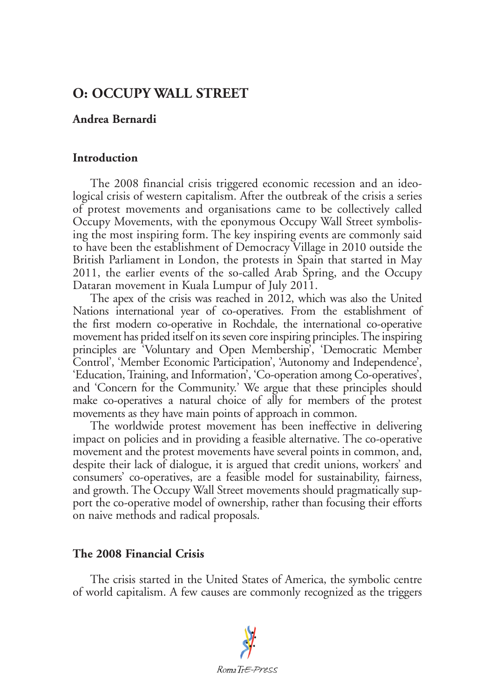# **O: OCCUPY WALL STREET**

## **Andrea Bernardi**

### **Introduction**

The 2008 financial crisis triggered economic recession and an ideological crisis of western capitalism. After the outbreak of the crisis a series of protest movements and organisations came to be collectively called Occupy Movements, with the eponymous Occupy Wall Street symbolising the most inspiring form. The key inspiring events are commonly said to have been the establishment of Democracy Village in 2010 outside the British Parliament in London, the protests in Spain that started in May 2011, the earlier events of the so-called Arab Spring, and the Occupy Dataran movement in Kuala Lumpur of July 2011.

The apex of the crisis was reached in 2012, which was also the United Nations international year of co-operatives. From the establishment of the first modern co-operative in Rochdale, the international co-operative movement has prided itself on its seven core inspiring principles. The inspiring principles are 'Voluntary and Open Membership', 'Democratic Member Control', 'Member Economic Participation', 'Autonomy and Independence', 'Education, Training, and Information', 'Co-operation among Co-operatives', and 'Concern for the Community.' We argue that these principles should make co-operatives a natural choice of ally for members of the protest movements as they have main points of approach in common.

The worldwide protest movement has been ineffective in delivering impact on policies and in providing a feasible alternative. The co-operative movement and the protest movements have several points in common, and, despite their lack of dialogue, it is argued that credit unions, workers' and consumers' co-operatives, are a feasible model for sustainability, fairness, and growth. The Occupy Wall Street movements should pragmatically support the co-operative model of ownership, rather than focusing their efforts on naive methods and radical proposals.

### **The 2008 Financial Crisis**

The crisis started in the United States of America, the symbolic centre of world capitalism. A few causes are commonly recognized as the triggers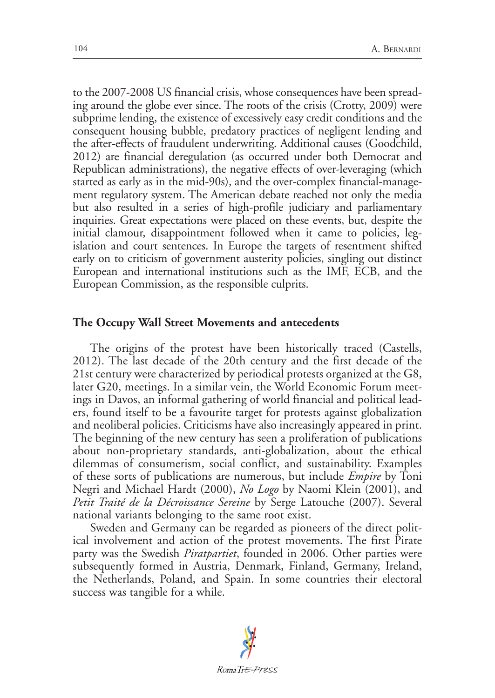to the 2007-2008 US financial crisis, whose consequences have been spreading around the globe ever since. The roots of the crisis (Crotty, 2009) were subprime lending, the existence of excessively easy credit conditions and the consequent housing bubble, predatory practices of negligent lending and the after-effects of fraudulent underwriting. Additional causes (Goodchild, 2012) are financial deregulation (as occurred under both Democrat and Republican administrations), the negative effects of over-leveraging (which started as early as in the mid-90s), and the over-complex financial-management regulatory system. The American debate reached not only the media but also resulted in a series of high-profile judiciary and parliamentary inquiries. Great expectations were placed on these events, but, despite the initial clamour, disappointment followed when it came to policies, legislation and court sentences. In Europe the targets of resentment shifted early on to criticism of government austerity policies, singling out distinct European and international institutions such as the IMF, ECB, and the European Commission, as the responsible culprits.

#### **The Occupy Wall Street Movements and antecedents**

The origins of the protest have been historically traced (Castells, 2012). The last decade of the 20th century and the first decade of the 21st century were characterized by periodical protests organized at the G8, later G20, meetings. In a similar vein, the World Economic Forum meetings in Davos, an informal gathering of world financial and political leaders, found itself to be a favourite target for protests against globalization and neoliberal policies. Criticisms have also increasingly appeared in print. The beginning of the new century has seen a proliferation of publications about non-proprietary standards, anti-globalization, about the ethical dilemmas of consumerism, social conflict, and sustainability. Examples of these sorts of publications are numerous, but include *Empire* by Toni Negri and Michael Hardt (2000), *No Logo* by Naomi Klein (2001), and *Petit Traité de la Décroissance Sereine* by Serge Latouche (2007). Several national variants belonging to the same root exist.

Sweden and Germany can be regarded as pioneers of the direct political involvement and action of the protest movements. The first Pirate party was the Swedish *Piratpartiet*, founded in 2006. Other parties were subsequently formed in Austria, Denmark, Finland, Germany, Ireland, the Netherlands, Poland, and Spain. In some countries their electoral success was tangible for a while.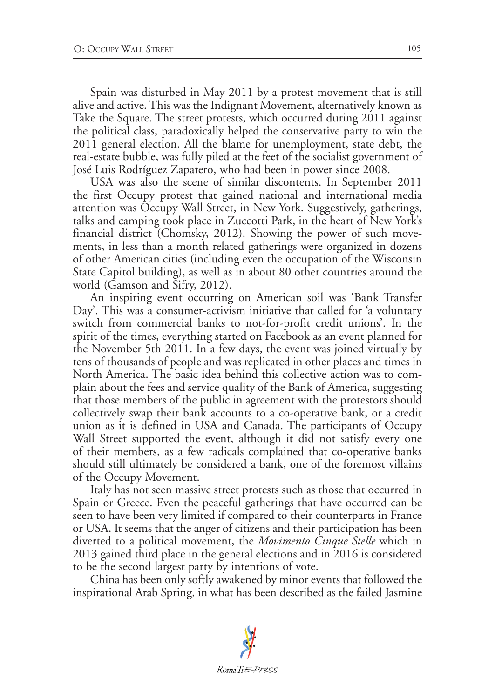Spain was disturbed in May 2011 by a protest movement that is still alive and active. This was the Indignant Movement, alternatively known as Take the Square. The street protests, which occurred during 2011 against the political class, paradoxically helped the conservative party to win the 2011 general election. All the blame for unemployment, state debt, the real-estate bubble, was fully piled at the feet of the socialist government of José Luis Rodríguez Zapatero, who had been in power since 2008.

USA was also the scene of similar discontents. In September 2011 the first Occupy protest that gained national and international media attention was Occupy Wall Street, in New York. Suggestively, gatherings, talks and camping took place in Zuccotti Park, in the heart of New York's financial district (Chomsky, 2012). Showing the power of such movements, in less than a month related gatherings were organized in dozens of other American cities (including even the occupation of the Wisconsin State Capitol building), as well as in about 80 other countries around the world (Gamson and Sifry, 2012).

An inspiring event occurring on American soil was 'Bank Transfer Day'. This was a consumer-activism initiative that called for 'a voluntary switch from commercial banks to not-for-profit credit unions'. In the spirit of the times, everything started on Facebook as an event planned for the November 5th 2011. In a few days, the event was joined virtually by tens of thousands of people and was replicated in other places and times in North America. The basic idea behind this collective action was to complain about the fees and service quality of the Bank of America, suggesting that those members of the public in agreement with the protestors should collectively swap their bank accounts to a co-operative bank, or a credit union as it is defined in USA and Canada. The participants of Occupy Wall Street supported the event, although it did not satisfy every one of their members, as a few radicals complained that co-operative banks should still ultimately be considered a bank, one of the foremost villains of the Occupy Movement.

Italy has not seen massive street protests such as those that occurred in Spain or Greece. Even the peaceful gatherings that have occurred can be seen to have been very limited if compared to their counterparts in France or USA. It seems that the anger of citizens and their participation has been diverted to a political movement, the *Movimento Cinque Stelle* which in 2013 gained third place in the general elections and in 2016 is considered to be the second largest party by intentions of vote.

China has been only softly awakened by minor events that followed the inspirational Arab Spring, in what has been described as the failed Jasmine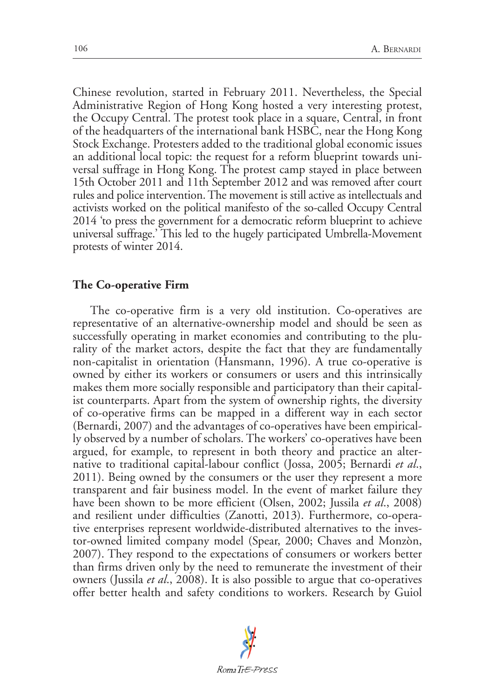Chinese revolution, started in February 2011. Nevertheless, the Special Administrative Region of Hong Kong hosted a very interesting protest, the Occupy Central. The protest took place in a square, Central, in front of the headquarters of the international bank HSBC, near the Hong Kong Stock Exchange. Protesters added to the traditional global economic issues an additional local topic: the request for a reform blueprint towards universal suffrage in Hong Kong. The protest camp stayed in place between 15th October 2011 and 11th September 2012 and was removed after court rules and police intervention. The movement is still active as intellectuals and activists worked on the political manifesto of the so-called Occupy Central 2014 'to press the government for a democratic reform blueprint to achieve universal suffrage.' This led to the hugely participated Umbrella-Movement protests of winter 2014.

#### **The Co-operative Firm**

The co-operative firm is a very old institution. Co-operatives are representative of an alternative-ownership model and should be seen as successfully operating in market economies and contributing to the plurality of the market actors, despite the fact that they are fundamentally non-capitalist in orientation (Hansmann, 1996). A true co-operative is owned by either its workers or consumers or users and this intrinsically makes them more socially responsible and participatory than their capitalist counterparts. Apart from the system of ownership rights, the diversity of co-operative firms can be mapped in a different way in each sector (Bernardi, 2007) and the advantages of co-operatives have been empirically observed by a number of scholars. The workers' co-operatives have been argued, for example, to represent in both theory and practice an alternative to traditional capital-labour conflict (Jossa, 2005; Bernardi *et al*., 2011). Being owned by the consumers or the user they represent a more transparent and fair business model. In the event of market failure they have been shown to be more efficient (Olsen, 2002; Jussila *et al*., 2008) and resilient under difficulties (Zanotti, 2013). Furthermore, co-operative enterprises represent worldwide-distributed alternatives to the investor-owned limited company model (Spear, 2000; Chaves and Monzòn, 2007). They respond to the expectations of consumers or workers better than firms driven only by the need to remunerate the investment of their owners (Jussila *et al*., 2008). It is also possible to argue that co-operatives offer better health and safety conditions to workers. Research by Guiol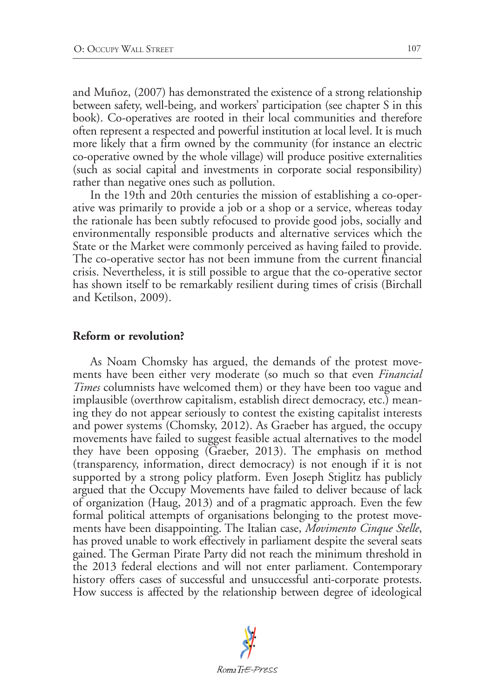and Muñoz, (2007) has demonstrated the existence of a strong relationship between safety, well-being, and workers' participation (see chapter S in this book). Co-operatives are rooted in their local communities and therefore often represent a respected and powerful institution at local level. It is much more likely that a firm owned by the community (for instance an electric co-operative owned by the whole village) will produce positive externalities (such as social capital and investments in corporate social responsibility) rather than negative ones such as pollution.

In the 19th and 20th centuries the mission of establishing a co-operative was primarily to provide a job or a shop or a service, whereas today the rationale has been subtly refocused to provide good jobs, socially and environmentally responsible products and alternative services which the State or the Market were commonly perceived as having failed to provide. The co-operative sector has not been immune from the current financial crisis. Nevertheless, it is still possible to argue that the co-operative sector has shown itself to be remarkably resilient during times of crisis (Birchall and Ketilson, 2009).

#### **Reform or revolution?**

As Noam Chomsky has argued, the demands of the protest movements have been either very moderate (so much so that even *Financial Times* columnists have welcomed them) or they have been too vague and implausible (overthrow capitalism, establish direct democracy, etc.) meaning they do not appear seriously to contest the existing capitalist interests and power systems (Chomsky, 2012). As Graeber has argued, the occupy movements have failed to suggest feasible actual alternatives to the model they have been opposing (Graeber, 2013). The emphasis on method (transparency, information, direct democracy) is not enough if it is not supported by a strong policy platform. Even Joseph Stiglitz has publicly argued that the Occupy Movements have failed to deliver because of lack of organization (Haug, 2013) and of a pragmatic approach. Even the few formal political attempts of organisations belonging to the protest movements have been disappointing. The Italian case, *Movimento Cinque Stelle*, has proved unable to work effectively in parliament despite the several seats gained. The German Pirate Party did not reach the minimum threshold in the 2013 federal elections and will not enter parliament. Contemporary history offers cases of successful and unsuccessful anti-corporate protests. How success is affected by the relationship between degree of ideological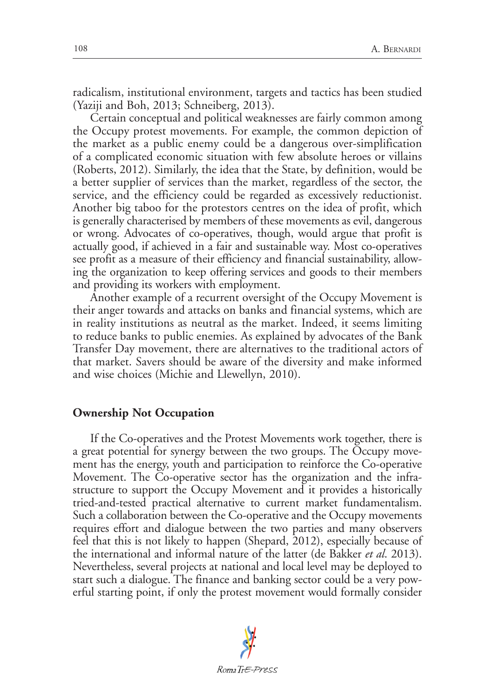radicalism, institutional environment, targets and tactics has been studied (Yaziji and Boh, 2013; Schneiberg, 2013).

Certain conceptual and political weaknesses are fairly common among the Occupy protest movements. For example, the common depiction of the market as a public enemy could be a dangerous over-simplification of a complicated economic situation with few absolute heroes or villains (Roberts, 2012). Similarly, the idea that the State, by definition, would be a better supplier of services than the market, regardless of the sector, the service, and the efficiency could be regarded as excessively reductionist. Another big taboo for the protestors centres on the idea of profit, which is generally characterised by members of these movements as evil, dangerous or wrong. Advocates of co-operatives, though, would argue that profit is actually good, if achieved in a fair and sustainable way. Most co-operatives see profit as a measure of their efficiency and financial sustainability, allowing the organization to keep offering services and goods to their members and providing its workers with employment.

Another example of a recurrent oversight of the Occupy Movement is their anger towards and attacks on banks and financial systems, which are in reality institutions as neutral as the market. Indeed, it seems limiting to reduce banks to public enemies. As explained by advocates of the Bank Transfer Day movement, there are alternatives to the traditional actors of that market. Savers should be aware of the diversity and make informed and wise choices (Michie and Llewellyn, 2010).

#### **Ownership Not Occupation**

If the Co-operatives and the Protest Movements work together, there is a great potential for synergy between the two groups. The Occupy movement has the energy, youth and participation to reinforce the Co-operative Movement. The Co-operative sector has the organization and the infrastructure to support the Occupy Movement and it provides a historically tried-and-tested practical alternative to current market fundamentalism. Such a collaboration between the Co-operative and the Occupy movements requires effort and dialogue between the two parties and many observers feel that this is not likely to happen (Shepard, 2012), especially because of the international and informal nature of the latter (de Bakker *et al*. 2013). Nevertheless, several projects at national and local level may be deployed to start such a dialogue. The finance and banking sector could be a very powerful starting point, if only the protest movement would formally consider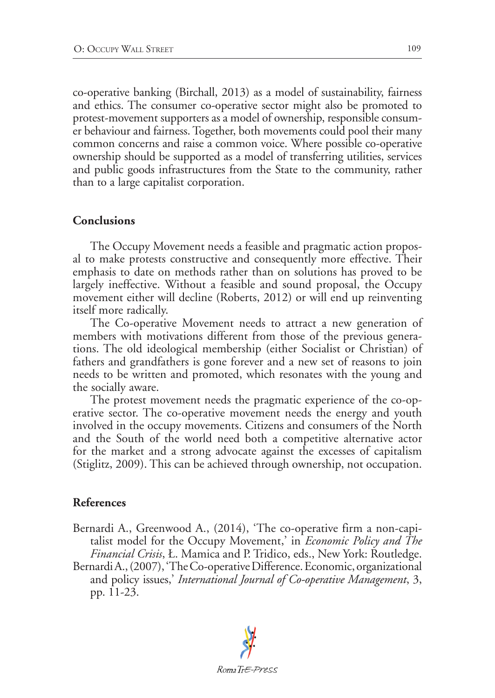co-operative banking (Birchall, 2013) as a model of sustainability, fairness and ethics. The consumer co-operative sector might also be promoted to protest-movement supporters as a model of ownership, responsible consumer behaviour and fairness. Together, both movements could pool their many common concerns and raise a common voice. Where possible co-operative ownership should be supported as a model of transferring utilities, services and public goods infrastructures from the State to the community, rather than to a large capitalist corporation.

### **Conclusions**

The Occupy Movement needs a feasible and pragmatic action proposal to make protests constructive and consequently more effective. Their emphasis to date on methods rather than on solutions has proved to be largely ineffective. Without a feasible and sound proposal, the Occupy movement either will decline (Roberts, 2012) or will end up reinventing itself more radically.

The Co-operative Movement needs to attract a new generation of members with motivations different from those of the previous generations. The old ideological membership (either Socialist or Christian) of fathers and grandfathers is gone forever and a new set of reasons to join needs to be written and promoted, which resonates with the young and the socially aware.

The protest movement needs the pragmatic experience of the co-operative sector. The co-operative movement needs the energy and youth involved in the occupy movements. Citizens and consumers of the North and the South of the world need both a competitive alternative actor for the market and a strong advocate against the excesses of capitalism (Stiglitz, 2009). This can be achieved through ownership, not occupation.

# **References**

Bernardi A., Greenwood A., (2014), 'The co-operative firm a non-capitalist model for the Occupy Movement,' in *Economic Policy and The Financial Crisis*, Ł. Mamica and P. Tridico, eds., New York: Routledge. Bernardi A., (2007), 'The Co-operative Difference. Economic, organizational and policy issues,' *International Journal of Co-operative Management*, 3, pp. 11-23.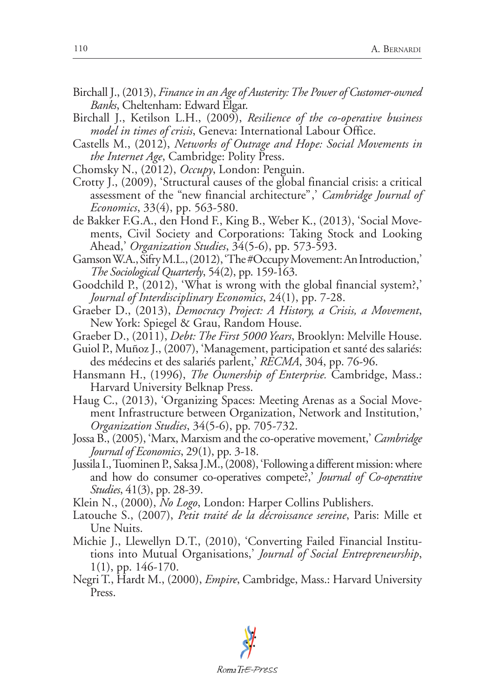- Birchall J., (2013), *Finance in an Age of Austerity: The Power of Customer-owned Banks*, Cheltenham: Edward Elgar.
- Birchall J., Ketilson L.H., (2009), *Resilience of the co-operative business model in times of crisis*, Geneva: International Labour Office.
- Castells M., (2012), *Networks of Outrage and Hope: Social Movements in the Internet Age*, Cambridge: Polity Press.
- Chomsky N., (2012), *Occupy*, London: Penguin.
- Crotty J., (2009), 'Structural causes of the global financial crisis: a critical assessment of the "new financial architecture",' *Cambridge Journal of Economics*, 33(4), pp. 563-580.
- de Bakker F.G.A., den Hond F., King B., Weber K., (2013), 'Social Movements, Civil Society and Corporations: Taking Stock and Looking Ahead,' *Organization Studies*, 34(5-6), pp. 573-593.
- Gamson W.A., Sifry M.L., (2012), 'The #Occupy Movement: An Introduction,' *The Sociological Quarterly*, 54(2), pp. 159-163.
- Goodchild P., (2012), 'What is wrong with the global financial system?,' *Journal of Interdisciplinary Economics*, 24(1), pp. 7-28.
- Graeber D., (2013), *Democracy Project: A History, a Crisis, a Movement*, New York: Spiegel & Grau, Random House.
- Graeber D., (2011), *Debt: The First 5000 Years*, Brooklyn: Melville House.
- Guiol P., Muñoz J., (2007), 'Management, participation et santé des salariés: des médecins et des salariés parlent,' *RECMA*, 304, pp. 76-96.
- Hansmann H., (1996), *The Ownership of Enterprise.* Cambridge, Mass.: Harvard University Belknap Press.
- Haug C., (2013), 'Organizing Spaces: Meeting Arenas as a Social Movement Infrastructure between Organization, Network and Institution,' *Organization Studies*, 34(5-6), pp. 705-732.
- Jossa B., (2005), 'Marx, Marxism and the co-operative movement,' *Cambridge Journal of Economics*, 29(1), pp. 3-18.
- Jussila I., Tuominen P., Saksa J.M., (2008), 'Following a different mission: where and how do consumer co-operatives compete?,' *Journal of Co-operative Studies*, 41(3), pp. 28-39.
- Klein N., (2000), *No Logo*, London: Harper Collins Publishers.
- Latouche S., (2007), *Petit traité de la décroissance sereine*, Paris: Mille et Une Nuits.
- Michie J., Llewellyn D.T., (2010), 'Converting Failed Financial Institutions into Mutual Organisations,' *Journal of Social Entrepreneurship*, 1(1), pp. 146-170.
- Negri T., Hardt M., (2000), *Empire*, Cambridge, Mass.: Harvard University Press.